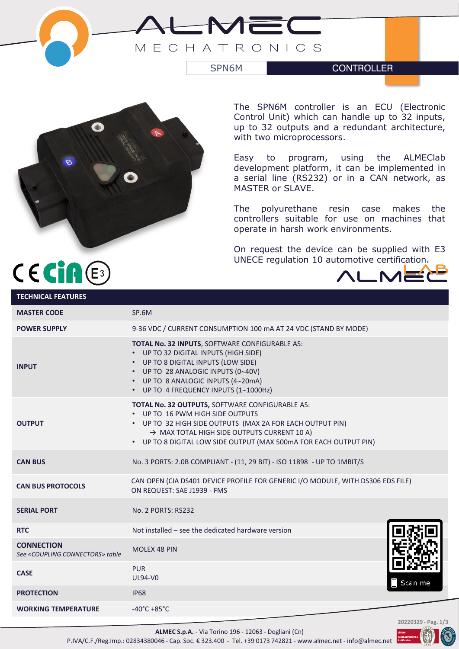



The SPN6M controller is an ECU (Electronic Control Unit) which can handle up to 32 inputs, up to 32 outputs and a redundant architecture, with two microprocessors.

Easy to program, using the ALMEClab development platform, it can be implemented in a serial line (RS232) or in a CAN network, as MASTER or SLAVE.

The polyurethane resin case makes the controllers suitable for use on machines that operate in harsh work environments.

On request the device can be supplied with E3 UNECE regulation 10 automotive certification.



# $C \in \mathop{\mathsf{Cin}}\nolimits(\mathbb{E})$

| <b>TECHNICAL FEATURES</b>                            |                                                                                                                                                                                                                                                                                |
|------------------------------------------------------|--------------------------------------------------------------------------------------------------------------------------------------------------------------------------------------------------------------------------------------------------------------------------------|
| <b>MASTER CODE</b>                                   | SP.6M                                                                                                                                                                                                                                                                          |
| <b>POWER SUPPLY</b>                                  | 9-36 VDC / CURRENT CONSUMPTION 100 mA AT 24 VDC (STAND BY MODE)                                                                                                                                                                                                                |
| <b>INPUT</b>                                         | TOTAL No. 32 INPUTS, SOFTWARE CONFIGURABLE AS:<br>• UP TO 32 DIGITAL INPUTS (HIGH SIDE)<br>UP TO 8 DIGITAL INPUTS (LOW SIDE)<br>• UP TO 28 ANALOGIC INPUTS (0~40V)<br>• UP TO 8 ANALOGIC INPUTS (4~20mA)<br>• UP TO 4 FREQUENCY INPUTS (1~1000Hz)                              |
| <b>OUTPUT</b>                                        | TOTAL No. 32 OUTPUTS, SOFTWARE CONFIGURABLE AS:<br>UP TO 16 PWM HIGH SIDE OUTPUTS<br>• UP TO 32 HIGH SIDE OUTPUTS (MAX 2A FOR EACH OUTPUT PIN)<br>$\rightarrow$ MAX TOTAL HIGH SIDE OUTPUTS CURRENT 10 A)<br>• UP TO 8 DIGITAL LOW SIDE OUTPUT (MAX 500mA FOR EACH OUTPUT PIN) |
| <b>CAN BUS</b>                                       | No. 3 PORTS: 2.0B COMPLIANT - (11, 29 BIT) - ISO 11898 - UP TO 1MBIT/S                                                                                                                                                                                                         |
| <b>CAN BUS PROTOCOLS</b>                             | CAN OPEN (CIA DS401 DEVICE PROFILE FOR GENERIC I/O MODULE, WITH DS306 EDS FILE)<br>ON REQUEST: SAE J1939 - FMS                                                                                                                                                                 |
| <b>SERIAL PORT</b>                                   | <b>No. 2 PORTS: RS232</b>                                                                                                                                                                                                                                                      |
| <b>RTC</b>                                           | Not installed – see the dedicated hardware version                                                                                                                                                                                                                             |
| <b>CONNECTION</b><br>See «COUPLING CONNECTORS» table | <b>MOLEX 48 PIN</b>                                                                                                                                                                                                                                                            |
| <b>CASE</b>                                          | <b>PUR</b><br><b>UL94-V0</b><br>Scan me                                                                                                                                                                                                                                        |
| <b>PROTECTION</b>                                    | <b>IP68</b>                                                                                                                                                                                                                                                                    |
| <b>WORKING TEMPERATURE</b>                           | $-40^{\circ}$ C +85 $^{\circ}$ C                                                                                                                                                                                                                                               |
|                                                      | 20220329 - Pag. 1/3                                                                                                                                                                                                                                                            |

**ALMEC S.p.A.** - Via Torino 196 - 12063 - Dogliani (Cn) P.IVA/C.F./Reg.Imp.: 02834380046 - Cap. Soc. € 323.400 - Tel. +39 0173 742821 - www.almec.net - info@almec.net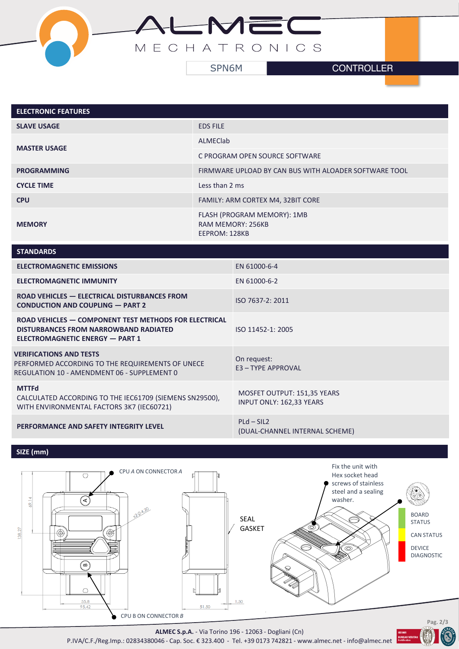

| <b>ELECTRONIC FEATURES</b> |                                                                          |
|----------------------------|--------------------------------------------------------------------------|
| <b>SLAVE USAGE</b>         | <b>EDS FILE</b>                                                          |
| <b>MASTER USAGE</b>        | ALMECIab                                                                 |
|                            | C PROGRAM OPEN SOURCE SOFTWARE                                           |
| <b>PROGRAMMING</b>         | FIRMWARE UPLOAD BY CAN BUS WITH ALOADER SOFTWARE TOOL                    |
| <b>CYCLE TIME</b>          | Less than 2 ms                                                           |
| <b>CPU</b>                 | FAMILY: ARM CORTEX M4, 32BIT CORE                                        |
| <b>MEMORY</b>              | FLASH (PROGRAM MEMORY): 1MB<br><b>RAM MEMORY: 256KB</b><br>EEPROM: 128KB |

| <b>STANDARDS</b>                                                                                                                         |                                                                |
|------------------------------------------------------------------------------------------------------------------------------------------|----------------------------------------------------------------|
| <b>ELECTROMAGNETIC EMISSIONS</b>                                                                                                         | EN 61000-6-4                                                   |
| <b>ELECTROMAGNETIC IMMUNITY</b>                                                                                                          | EN 61000-6-2                                                   |
| ROAD VEHICLES - ELECTRICAL DISTURBANCES FROM<br><b>CONDUCTION AND COUPLING - PART 2</b>                                                  | ISO 7637-2: 2011                                               |
| ROAD VEHICLES - COMPONENT TEST METHODS FOR ELECTRICAL<br><b>DISTURBANCES FROM NARROWBAND RADIATED</b><br>ELECTROMAGNETIC ENERGY - PART 1 | ISO 11452-1: 2005                                              |
| <b>VERIFICATIONS AND TESTS</b><br>PERFORMED ACCORDING TO THE REQUIREMENTS OF UNECE<br>REGULATION 10 - AMENDMENT 06 - SUPPLEMENT 0        | On request:<br>E3 - TYPE APPROVAL                              |
| <b>MTTFd</b><br>CALCULATED ACCORDING TO THE IEC61709 (SIEMENS SN29500),<br>WITH ENVIRONMENTAL FACTORS 3K7 (IEC60721)                     | MOSFET OUTPUT: 151,35 YEARS<br><b>INPUT ONLY: 162,33 YEARS</b> |
| PERFORMANCE AND SAFETY INTEGRITY LEVEL                                                                                                   | $PLd - SIL2$<br>(DUAL-CHANNEL INTERNAL SCHEME)                 |
|                                                                                                                                          |                                                                |

# **SIZE (mm)**



**ALMEC S.p.A.** - Via Torino 196 - 12063 - Dogliani (Cn)

P.IVA/C.F./Reg.Imp.: 02834380046 - Cap. Soc. € 323.400 - Tel. +39 0173 742821 - www.almec.net - info@almec.net

E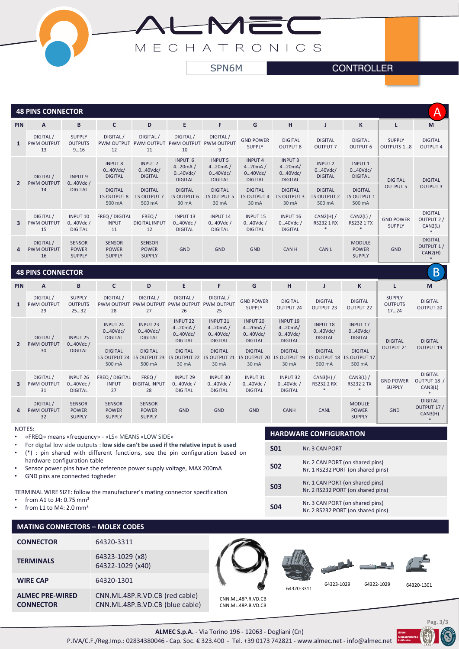

#### **48 PINS CONNECTOR**

|                | Α<br><b>48 PINS CONNECTOR</b>        |                                                  |                                                |                                                |                                                  |                                                       |                                                       |                                                       |                                                |                                                |                                    |                                        |
|----------------|--------------------------------------|--------------------------------------------------|------------------------------------------------|------------------------------------------------|--------------------------------------------------|-------------------------------------------------------|-------------------------------------------------------|-------------------------------------------------------|------------------------------------------------|------------------------------------------------|------------------------------------|----------------------------------------|
| <b>PIN</b>     | A                                    | B                                                | C                                              | D                                              | E                                                | F                                                     | G                                                     | н                                                     |                                                | K                                              |                                    | M                                      |
| $\mathbf{1}$   | DIGITAL /<br><b>PWM OUTPUT</b><br>13 | <b>SUPPLY</b><br><b>OUTPUTS</b><br>916           | DIGITAL /<br><b>PWM OUTPUT</b><br>12           | DIGITAL/<br><b>PWM OUTPUT</b><br>11            | DIGITAL /<br><b>PWM OUTPUT</b><br>10             | DIGITAL /<br><b>PWM OUTPUT</b><br>9                   | <b>GND POWER</b><br><b>SUPPLY</b>                     | <b>DIGITAL</b><br><b>OUTPUT 8</b>                     | <b>DIGITAL</b><br><b>OUTPUT 7</b>              | <b>DIGITAL</b><br><b>OUTPUT 6</b>              | <b>SUPPLY</b><br><b>OUTPUTS 18</b> | <b>DIGITAL</b><br><b>OUTPUT 4</b>      |
| $\overline{2}$ | DIGITAL /<br><b>PWM OUTPUT</b><br>14 | <b>INPUT 9</b><br>$040$ Vdc /<br><b>DIGITAL</b>  | <b>INPUT 8</b><br>040Vdc/<br><b>DIGITAL</b>    | <b>INPUT 7</b><br>$040$ Vdc/<br><b>DIGITAL</b> | INPUT 6<br>420mA/<br>040Vdc/<br><b>DIGITAL</b>   | <b>INPUT 5</b><br>420mA/<br>040Vdc/<br><b>DIGITAL</b> | <b>INPUT 4</b><br>420mA/<br>040Vdc/<br><b>DIGITAL</b> | <b>INPUT 3</b><br>420mA/<br>040Vdc/<br><b>DIGITAL</b> | <b>INPUT 2</b><br>$040$ Vdc/<br><b>DIGITAL</b> | <b>INPUT1</b><br>$040$ Vdc/<br><b>DIGITAL</b>  | <b>DIGITAL</b><br><b>OUTPUT 5</b>  | <b>DIGITAL</b><br><b>OUTPUT 3</b>      |
|                |                                      |                                                  | <b>DIGITAL</b><br>LS OUTPUT 8<br>500 mA        | <b>DIGITAL</b><br>LS OUTPUT 7<br>500 mA        | <b>DIGITAL</b><br>LS OUTPUT 6<br>30 mA           | <b>DIGITAL</b><br>LS OUTPUT 5<br>30 mA                | <b>DIGITAL</b><br>LS OUTPUT 4<br>30 mA                | <b>DIGITAL</b><br>LS OUTPUT 3<br>30 mA                | <b>DIGITAL</b><br>LS OUTPUT 2<br>500 mA        | <b>DIGITAL</b><br>LS OUTPUT 1<br>500 mA        |                                    |                                        |
| 3              | DIGITAL /<br><b>PWM OUTPUT</b><br>15 | <b>INPUT 10</b><br>$040$ Vdc /<br><b>DIGITAL</b> | <b>FREQ / DIGITAL</b><br><b>INPUT</b><br>11    | FREQ /<br><b>DIGITAL INPUT</b><br>12           | <b>INPUT 13</b><br>$040$ Vdc /<br><b>DIGITAL</b> | <b>INPUT 14</b><br>$040$ Vdc /<br><b>DIGITAL</b>      | <b>INPUT 15</b><br>$040$ Vdc /<br><b>DIGITAL</b>      | <b>INPUT 16</b><br>$040$ Vdc /<br><b>DIGITAL</b>      | $CAN2(H)$ /<br><b>RS232 1 RX</b>               | $CAN2(L)$ /<br><b>RS232 1 TX</b>               | <b>GND POWER</b><br><b>SUPPLY</b>  | <b>DIGITAL</b><br>OUTPUT 2/<br>CAN2(L) |
| $\overline{a}$ | DIGITAL /<br><b>PWM OUTPUT</b><br>16 | <b>SENSOR</b><br><b>POWER</b><br><b>SUPPLY</b>   | <b>SENSOR</b><br><b>POWER</b><br><b>SUPPLY</b> | <b>SENSOR</b><br><b>POWER</b><br><b>SUPPLY</b> | <b>GND</b>                                       | <b>GND</b>                                            | <b>GND</b>                                            | <b>CANH</b>                                           | CAN L                                          | <b>MODULE</b><br><b>POWER</b><br><b>SUPPLY</b> | <b>GND</b>                         | <b>DIGITAL</b><br>OUTPUT 1/<br>CAN2(H) |

### **48 PINS CONNECTOR**

| B<br><b>48 PINS CONNECTOR</b> |                                     |                                                    |                                                 |                                                |                                                        |                                                        |                                                        |                                                           |                                              |                                                 |                                         |                                          |
|-------------------------------|-------------------------------------|----------------------------------------------------|-------------------------------------------------|------------------------------------------------|--------------------------------------------------------|--------------------------------------------------------|--------------------------------------------------------|-----------------------------------------------------------|----------------------------------------------|-------------------------------------------------|-----------------------------------------|------------------------------------------|
| <b>PIN</b>                    | A                                   | B                                                  | C                                               | D                                              | E                                                      | F                                                      | G                                                      | н                                                         |                                              | K                                               |                                         | M                                        |
| $\mathbf{1}$                  | DIGITAL/<br><b>PWM OUTPUT</b><br>29 | <b>SUPPLY</b><br><b>OUTPUTS</b><br>2532            | DIGITAL/<br><b>PWM OUTPUT</b><br>28             | DIGITAL /<br><b>PWM OUTPUT</b><br>27           | DIGITAL /<br><b>PWM OUTPUT</b><br>26                   | DIGITAL/<br><b>PWM OUTPUT</b><br>25                    | <b>GND POWER</b><br><b>SUPPLY</b>                      | <b>DIGITAL</b><br><b>OUTPUT 24</b>                        | <b>DIGITAL</b><br><b>OUTPUT 23</b>           | <b>DIGITAL</b><br><b>OUTPUT 22</b>              | <b>SUPPLY</b><br><b>OUTPUTS</b><br>1724 | <b>DIGITAL</b><br><b>OUTPUT 20</b>       |
|                               | DIGITAL/<br><b>PWM OUTPUT</b><br>30 | <b>INPUT 25</b><br>$040$ Vdc $/$<br><b>DIGITAL</b> | <b>INPUT 24</b><br>$040$ Vdc/<br><b>DIGITAL</b> | <b>INPUT 23</b><br>040Vdc/<br><b>DIGITAL</b>   | <b>INPUT 22</b><br>420mA/<br>040Vdc/<br><b>DIGITAL</b> | <b>INPUT 21</b><br>420mA/<br>040Vdc/<br><b>DIGITAL</b> | <b>INPUT 20</b><br>420mA/<br>040Vdc/<br><b>DIGITAL</b> | <b>INPUT 19</b><br>420mA/<br>$040$ Vdc/<br><b>DIGITAL</b> | <b>INPUT 18</b><br>040Vdc/<br><b>DIGITAL</b> | <b>INPUT 17</b><br>$040$ Vdc/<br><b>DIGITAL</b> | <b>DIGITAL</b><br><b>OUTPUT 21</b>      | <b>DIGITAL</b><br><b>OUTPUT 19</b>       |
| $\overline{2}$                |                                     |                                                    | <b>DIGITAL</b><br>LS OUTPUT 24<br>500 mA        | <b>DIGITAL</b><br>LS OUTPUT 23<br>500 mA       | <b>DIGITAL</b><br>LS OUTPUT 22<br>30 mA                | <b>DIGITAL</b><br>LS OUTPUT 21<br>30 mA                | <b>DIGITAL</b><br>LS OUTPUT 20<br>30 mA                | <b>DIGITAL</b><br>LS OUTPUT 19<br>30 mA                   | <b>DIGITAL</b><br>LS OUTPUT 18<br>500 mA     | <b>DIGITAL</b><br>LS OUTPUT 17<br>500 mA        |                                         |                                          |
| 3                             | DIGITAL/<br><b>PWM OUTPUT</b><br>31 | <b>INPUT 26</b><br>$040$ Vdc $/$<br><b>DIGITAL</b> | FREQ / DIGITAL<br><b>INPUT</b><br>27            | FREQ/<br><b>DIGITAL INPUT</b><br>28            | <b>INPUT 29</b><br>$040$ Vdc /<br><b>DIGITAL</b>       | <b>INPUT 30</b><br>$040$ Vdc /<br><b>DIGITAL</b>       | <b>INPUT 31</b><br>$040$ Vdc /<br><b>DIGITAL</b>       | <b>INPUT 32</b><br>$040$ Vdc /<br><b>DIGITAL</b>          | $CAN3(H)$ /<br><b>RS232 2 RX</b>             | $CAN3(L)$ /<br><b>RS232 2 TX</b>                | <b>GND POWER</b><br><b>SUPPLY</b>       | <b>DIGITAL</b><br>OUTPUT 18 /<br>CAN3(L) |
| $\overline{a}$                | DIGITAL/<br><b>PWM OUTPUT</b><br>32 | <b>SENSOR</b><br><b>POWER</b><br><b>SUPPLY</b>     | <b>SENSOR</b><br><b>POWER</b><br><b>SUPPLY</b>  | <b>SENSOR</b><br><b>POWER</b><br><b>SUPPLY</b> | <b>GND</b>                                             | <b>GND</b>                                             | <b>GND</b>                                             | <b>CANH</b>                                               | <b>CANL</b>                                  | <b>MODULE</b><br><b>POWER</b><br><b>SUPPLY</b>  | <b>GND</b>                              | <b>DIGITAL</b><br>OUTPUT 17/<br>CAN3(H)  |

NOTES:

- «FREQ» means «frequency» «LS» MEANS «LOW SIDE»
- For digital low side outputs : **low side can't be used if the relative input is used**
- (\*) : pin shared with different functions, see the pin configuration based on hardware configuration table

CNN.ML.48P.R.VD.CB (red cable) CNN.ML.48P.B.VD.CB (blue cable)

- Sensor power pins have the reference power supply voltage, MAX 200mA
- GND pins are connected togheder

TERMINAL WIRE SIZE: follow the manufacturer's mating connector specification

• from A1 to J4: 0.75 mm²

**ALMEC PRE-WIRED CONNECTOR**

## **MATING CONNECTORS - N**

| from A1 to J4: 0.75 mm <sup>2</sup><br>from L1 to M4: $2.0 \text{ mm}^2$ |                                     |  | <b>S04</b> | Nr. 3 CAN PORT (on shared pins)<br>Nr. 2 RS232 PORT (on shared pins) |           |
|--------------------------------------------------------------------------|-------------------------------------|--|------------|----------------------------------------------------------------------|-----------|
| <b>MATING CONNECTORS - MOLEX CODES</b>                                   |                                     |  |            |                                                                      |           |
| <b>CONNECTOR</b>                                                         | 64320-3311                          |  |            |                                                                      |           |
| <b>TERMINALS</b>                                                         | 64323-1029 (x8)<br>64322-1029 (x40) |  |            |                                                                      |           |
| <b>WIRE CAP</b>                                                          | 64320-1301                          |  |            | 64323-1029                                                           | 64322-102 |

CNN.ML.48P.R.VD.CB CNN.ML.48P.B.VD.CB 64320-3311

**HARDWARE CONFIGURATION**

**S02** Nr. 2 CAN PORT (on shared pins)

**S03** Nr. 1 CAN PORT (on shared pins)

Nr. 1 RS232 PORT (on shared pins)

Nr. 2 RS232 PORT (on shared pins)

**S01** Nr. 3 CAN PORT



64323-1029 64322-1029 64320-1301

**ALMEC S.p.A.** - Via Torino 196 - 12063 - Dogliani (Cn)

P.IVA/C.F./Reg.Imp.: 02834380046 - Cap. Soc. € 323.400 - Tel. +39 0173 742821 - www.almec.net - info@almec.net |